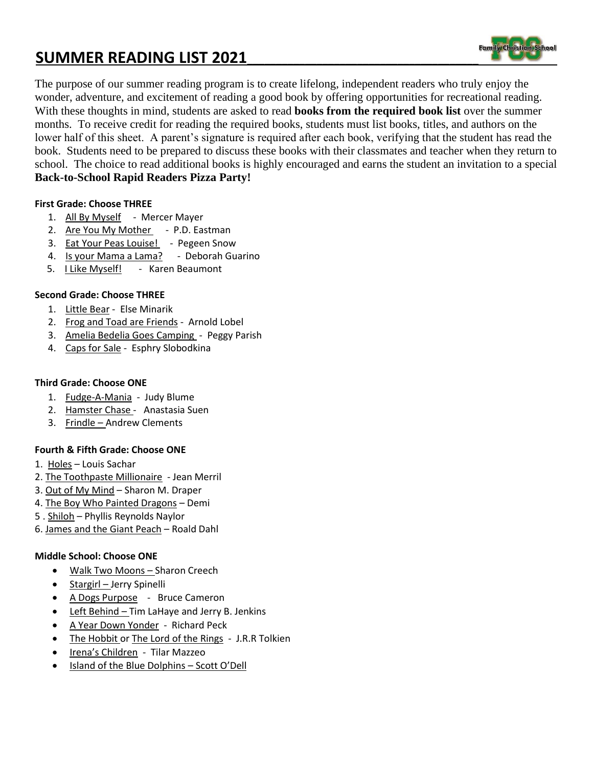# **SUMMER READING LIST 2021\_\_\_\_\_\_\_\_\_\_\_\_\_\_\_\_\_\_\_\_\_\_\_\_\_\_\_\_\_\_\_\_\_\_\_\_\_\_\_\_**



The purpose of our summer reading program is to create lifelong, independent readers who truly enjoy the wonder, adventure, and excitement of reading a good book by offering opportunities for recreational reading. With these thoughts in mind, students are asked to read **books from the required book list** over the summer months. To receive credit for reading the required books, students must list books, titles, and authors on the lower half of this sheet. A parent's signature is required after each book, verifying that the student has read the book. Students need to be prepared to discuss these books with their classmates and teacher when they return to school. The choice to read additional books is highly encouraged and earns the student an invitation to a special **Back-to-School Rapid Readers Pizza Party!**

## **First Grade: Choose THREE**

- 1. All By Myself Mercer Mayer
- 2. Are You My Mother P.D. Eastman
- 3. Eat Your Peas Louise! Pegeen Snow
- 4. Is your Mama a Lama? Deborah Guarino
- 5. I Like Myself! Karen Beaumont

### **Second Grade: Choose THREE**

- 1. Little Bear Else Minarik
- 2. Frog and Toad are Friends Arnold Lobel
- 3. Amelia Bedelia Goes Camping Peggy Parish
- 4. Caps for Sale Esphry Slobodkina

#### **Third Grade: Choose ONE**

- 1. Fudge-A-Mania Judy Blume
- 2. Hamster Chase Anastasia Suen
- 3. Frindle Andrew Clements

#### **Fourth & Fifth Grade: Choose ONE**

- 1. Holes Louis Sachar
- 2. The Toothpaste Millionaire Jean Merril
- 3. Out of My Mind Sharon M. Draper
- 4. The Boy Who Painted Dragons Demi
- 5 . Shiloh Phyllis Reynolds Naylor
- 6. James and the Giant Peach Roald Dahl

#### **Middle School: Choose ONE**

- Walk Two Moons Sharon Creech
- Stargirl Jerry Spinelli
- A Dogs Purpose Bruce Cameron
- Left Behind Tim LaHaye and Jerry B. Jenkins
- A Year Down Yonder Richard Peck
- The Hobbit or The Lord of the Rings J.R.R Tolkien
- Irena's Children Tilar Mazzeo
- Island of the Blue Dolphins Scott O'Dell